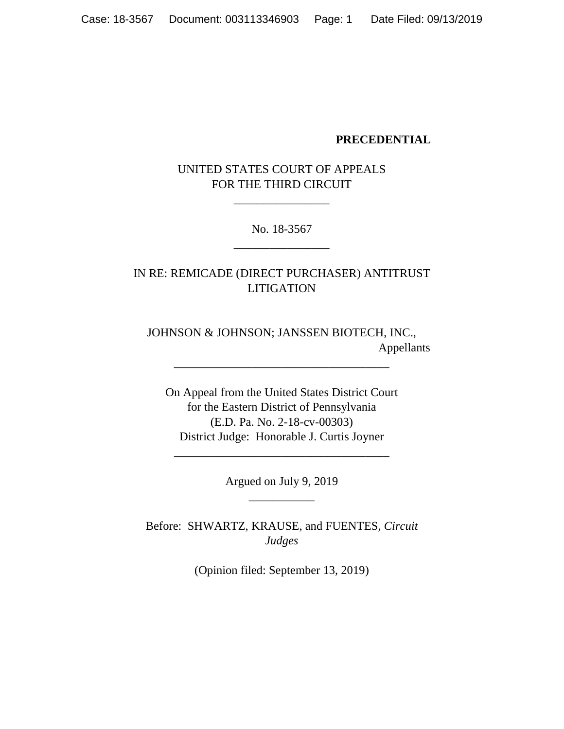#### **PRECEDENTIAL**

UNITED STATES COURT OF APPEALS FOR THE THIRD CIRCUIT

\_\_\_\_\_\_\_\_\_\_\_\_\_\_\_\_

No. 18-3567 \_\_\_\_\_\_\_\_\_\_\_\_\_\_\_\_

IN RE: REMICADE (DIRECT PURCHASER) ANTITRUST LITIGATION

JOHNSON & JOHNSON; JANSSEN BIOTECH, INC., Appellants

\_\_\_\_\_\_\_\_\_\_\_\_\_\_\_\_\_\_\_\_\_\_\_\_\_\_\_\_\_\_\_\_\_\_\_\_

On Appeal from the United States District Court for the Eastern District of Pennsylvania (E.D. Pa. No. 2-18-cv-00303) District Judge: Honorable J. Curtis Joyner

> Argued on July 9, 2019 \_\_\_\_\_\_\_\_\_\_\_

\_\_\_\_\_\_\_\_\_\_\_\_\_\_\_\_\_\_\_\_\_\_\_\_\_\_\_\_\_\_\_\_\_\_\_\_

Before: SHWARTZ, KRAUSE, and FUENTES, *Circuit Judges*

(Opinion filed: September 13, 2019)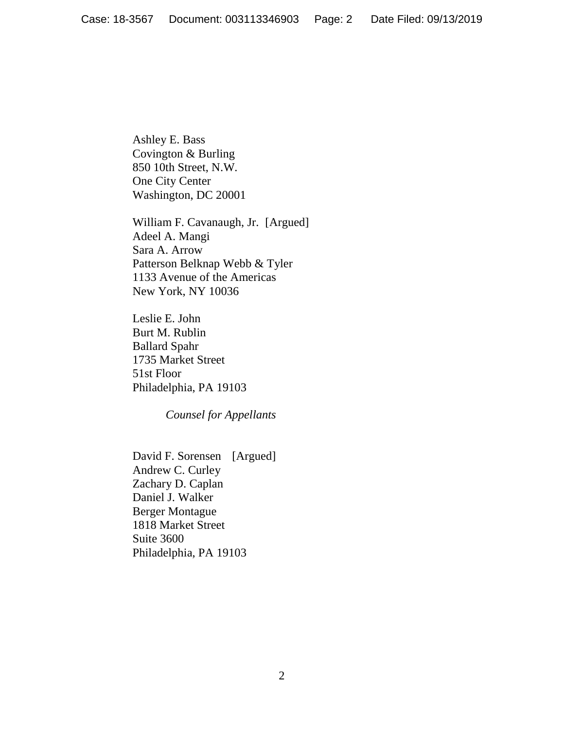Ashley E. Bass Covington & Burling 850 10th Street, N.W. One City Center Washington, DC 20001

William F. Cavanaugh, Jr. [Argued] Adeel A. Mangi Sara A. Arrow Patterson Belknap Webb & Tyler 1133 Avenue of the Americas New York, NY 10036

Leslie E. John Burt M. Rublin Ballard Spahr 1735 Market Street 51st Floor Philadelphia, PA 19103

*Counsel for Appellants* 

David F. Sorensen [Argued] Andrew C. Curley Zachary D. Caplan Daniel J. Walker Berger Montague 1818 Market Street Suite 3600 Philadelphia, PA 19103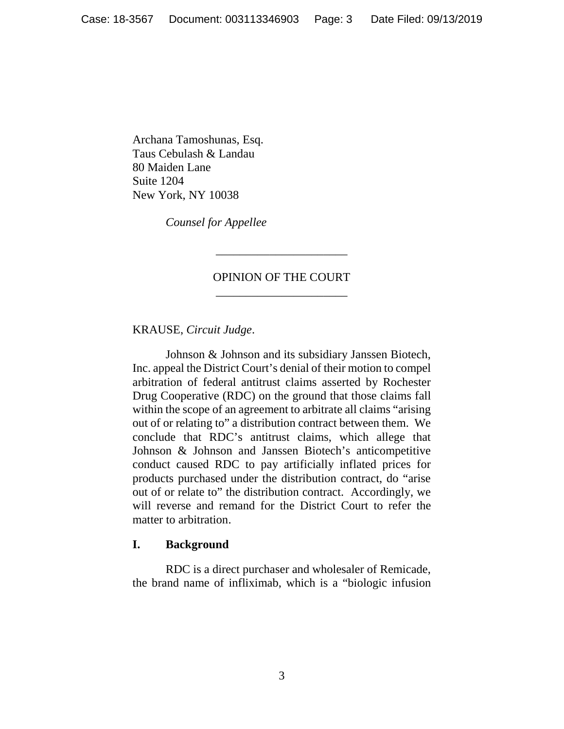Archana Tamoshunas, Esq. Taus Cebulash & Landau 80 Maiden Lane Suite 1204 New York, NY 10038

*Counsel for Appellee* 

# OPINION OF THE COURT *\_\_\_\_\_\_\_\_\_\_\_\_\_\_\_\_\_\_\_\_\_\_*

*\_\_\_\_\_\_\_\_\_\_\_\_\_\_\_\_\_\_\_\_\_\_*

KRAUSE, *Circuit Judge*.

Johnson & Johnson and its subsidiary Janssen Biotech, Inc. appeal the District Court's denial of their motion to compel arbitration of federal antitrust claims asserted by Rochester Drug Cooperative (RDC) on the ground that those claims fall within the scope of an agreement to arbitrate all claims "arising out of or relating to" a distribution contract between them. We conclude that RDC's antitrust claims, which allege that Johnson & Johnson and Janssen Biotech's anticompetitive conduct caused RDC to pay artificially inflated prices for products purchased under the distribution contract, do "arise out of or relate to" the distribution contract. Accordingly, we will reverse and remand for the District Court to refer the matter to arbitration.

#### **I. Background**

RDC is a direct purchaser and wholesaler of Remicade, the brand name of infliximab, which is a "biologic infusion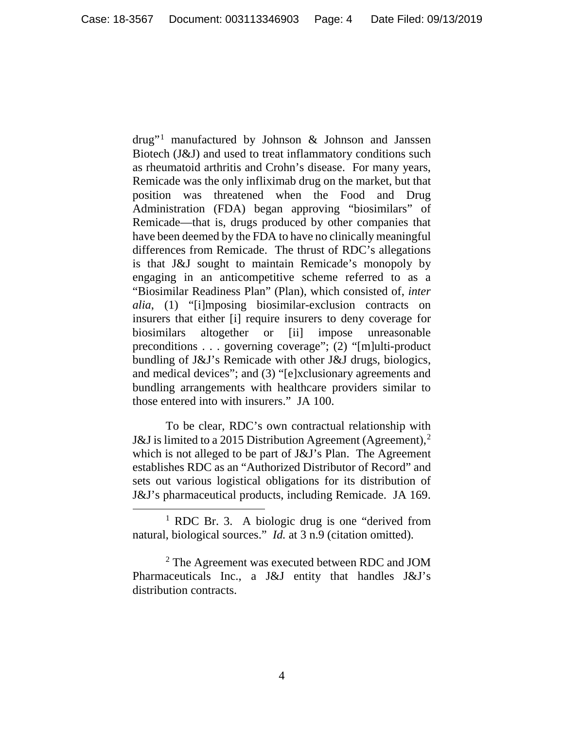$d\text{rug}^{\prime\prime}$  manufactured by Johnson & Johnson and Janssen Biotech (J&J) and used to treat inflammatory conditions such as rheumatoid arthritis and Crohn's disease. For many years, Remicade was the only infliximab drug on the market, but that position was threatened when the Food and Drug Administration (FDA) began approving "biosimilars" of Remicade—that is, drugs produced by other companies that have been deemed by the FDA to have no clinically meaningful differences from Remicade. The thrust of RDC's allegations is that J&J sought to maintain Remicade's monopoly by engaging in an anticompetitive scheme referred to as a "Biosimilar Readiness Plan" (Plan), which consisted of, *inter alia*, (1) "[i]mposing biosimilar-exclusion contracts on insurers that either [i] require insurers to deny coverage for biosimilars altogether or [ii] impose unreasonable preconditions . . . governing coverage"; (2) "[m]ulti-product bundling of J&J's Remicade with other J&J drugs, biologics, and medical devices"; and (3) "[e]xclusionary agreements and bundling arrangements with healthcare providers similar to those entered into with insurers." JA 100.

To be clear, RDC's own contractual relationship with J&J is limited to a [2](#page-3-1)015 Distribution Agreement (Agreement),<sup>2</sup> which is not alleged to be part of J&J's Plan. The Agreement establishes RDC as an "Authorized Distributor of Record" and sets out various logistical obligations for its distribution of J&J's pharmaceutical products, including Remicade. JA 169.

<span id="page-3-0"></span><sup>&</sup>lt;sup>1</sup> RDC Br. 3. A biologic drug is one "derived from natural, biological sources." *Id.* at 3 n.9 (citation omitted).

<span id="page-3-1"></span><sup>2</sup> The Agreement was executed between RDC and JOM Pharmaceuticals Inc., a J&J entity that handles J&J's distribution contracts.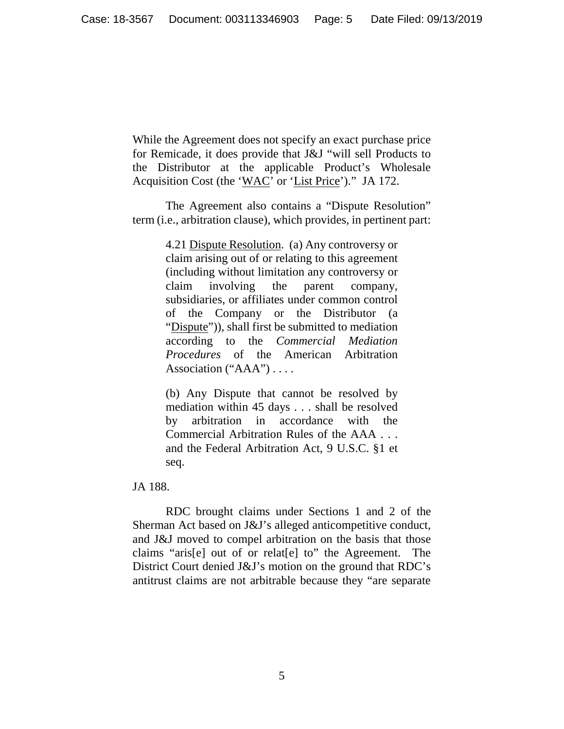While the Agreement does not specify an exact purchase price for Remicade, it does provide that J&J "will sell Products to the Distributor at the applicable Product's Wholesale Acquisition Cost (the 'WAC' or 'List Price')." JA 172.

The Agreement also contains a "Dispute Resolution" term (i.e., arbitration clause), which provides, in pertinent part:

> 4.21 Dispute Resolution. (a) Any controversy or claim arising out of or relating to this agreement (including without limitation any controversy or claim involving the parent company, subsidiaries, or affiliates under common control of the Company or the Distributor (a "Dispute")), shall first be submitted to mediation according to the *Commercial Mediation Procedures* of the American Arbitration Association ("AAA") . . . .

> (b) Any Dispute that cannot be resolved by mediation within 45 days . . . shall be resolved by arbitration in accordance with the Commercial Arbitration Rules of the AAA . . . and the Federal Arbitration Act, 9 U.S.C. §1 et seq.

JA 188.

RDC brought claims under Sections 1 and 2 of the Sherman Act based on J&J's alleged anticompetitive conduct, and J&J moved to compel arbitration on the basis that those claims "aris[e] out of or relat[e] to" the Agreement. The District Court denied J&J's motion on the ground that RDC's antitrust claims are not arbitrable because they "are separate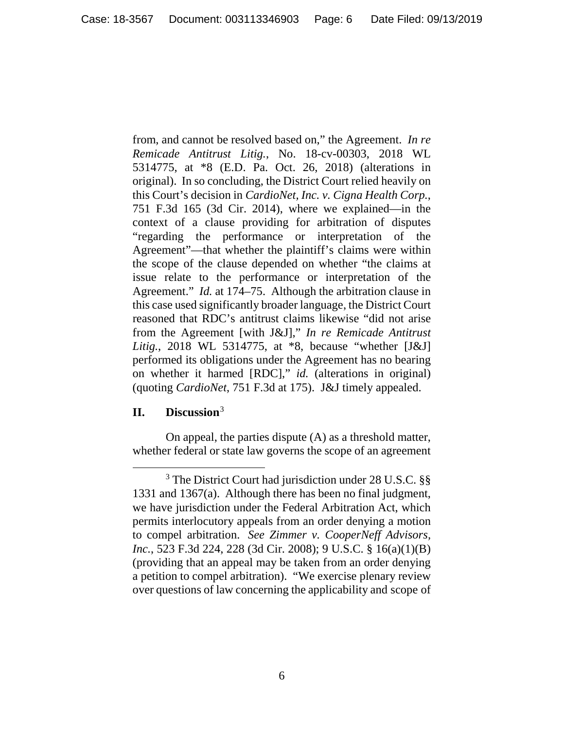from, and cannot be resolved based on," the Agreement. *In re Remicade Antitrust Litig.*, No. 18-cv-00303, 2018 WL 5314775, at \*8 (E.D. Pa. Oct. 26, 2018) (alterations in original). In so concluding, the District Court relied heavily on this Court's decision in *CardioNet, Inc. v. Cigna Health Corp.*, 751 F.3d 165 (3d Cir. 2014), where we explained—in the context of a clause providing for arbitration of disputes "regarding the performance or interpretation of the Agreement"—that whether the plaintiff's claims were within the scope of the clause depended on whether "the claims at issue relate to the performance or interpretation of the Agreement." *Id.* at 174–75. Although the arbitration clause in this case used significantly broader language, the District Court reasoned that RDC's antitrust claims likewise "did not arise from the Agreement [with J&J]," *In re Remicade Antitrust Litig.*, 2018 WL 5314775, at \*8, because "whether [J&J] performed its obligations under the Agreement has no bearing on whether it harmed [RDC]," *id.* (alterations in original) (quoting *CardioNet*, 751 F.3d at 175). J&J timely appealed.

# **II. Discussion**[3](#page-5-0)

l

On appeal, the parties dispute (A) as a threshold matter, whether federal or state law governs the scope of an agreement

<span id="page-5-0"></span><sup>&</sup>lt;sup>3</sup> The District Court had jurisdiction under 28 U.S.C. §§ 1331 and 1367(a). Although there has been no final judgment, we have jurisdiction under the Federal Arbitration Act, which permits interlocutory appeals from an order denying a motion to compel arbitration. *See Zimmer v. CooperNeff Advisors, Inc.*, 523 F.3d 224, 228 (3d Cir. 2008); 9 U.S.C. § 16(a)(1)(B) (providing that an appeal may be taken from an order denying a petition to compel arbitration). "We exercise plenary review over questions of law concerning the applicability and scope of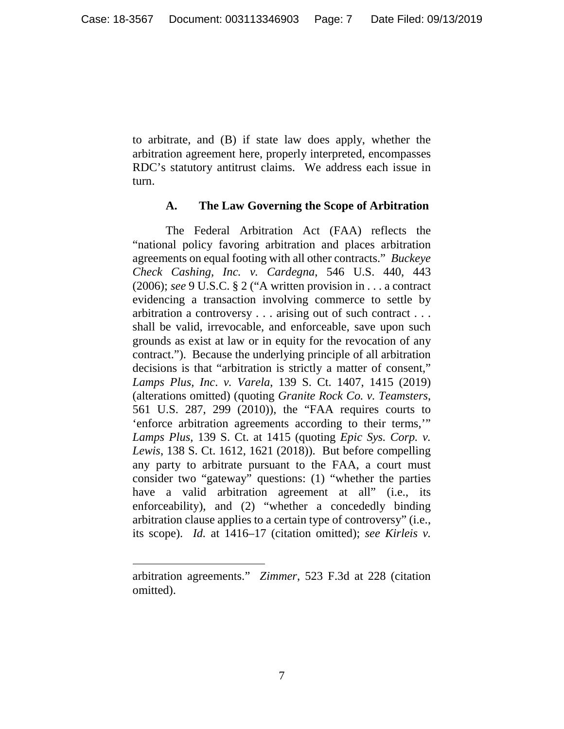to arbitrate, and (B) if state law does apply, whether the arbitration agreement here, properly interpreted, encompasses RDC's statutory antitrust claims. We address each issue in turn.

### **A. The Law Governing the Scope of Arbitration**

The Federal Arbitration Act (FAA) reflects the "national policy favoring arbitration and places arbitration agreements on equal footing with all other contracts." *Buckeye Check Cashing, Inc. v. Cardegna*, 546 U.S. 440, 443 (2006); *see* 9 U.S.C. § 2 ("A written provision in . . . a contract evidencing a transaction involving commerce to settle by arbitration a controversy . . . arising out of such contract . . . shall be valid, irrevocable, and enforceable, save upon such grounds as exist at law or in equity for the revocation of any contract."). Because the underlying principle of all arbitration decisions is that "arbitration is strictly a matter of consent," *Lamps Plus, Inc*. *v. Varela*, 139 S. Ct. 1407, 1415 (2019) (alterations omitted) (quoting *Granite Rock Co. v. Teamsters*, 561 U.S. 287, 299 (2010)), the "FAA requires courts to 'enforce arbitration agreements according to their terms,'" *Lamps Plus*, 139 S. Ct. at 1415 (quoting *Epic Sys. Corp. v. Lewis*, 138 S. Ct. 1612, 1621 (2018)). But before compelling any party to arbitrate pursuant to the FAA, a court must consider two "gateway" questions: (1) "whether the parties have a valid arbitration agreement at all" (i.e., its enforceability), and (2) "whether a concededly binding arbitration clause applies to a certain type of controversy" (i.e., its scope). *Id.* at 1416–17 (citation omitted); *see Kirleis v.* 

arbitration agreements." *Zimmer*, 523 F.3d at 228 (citation omitted).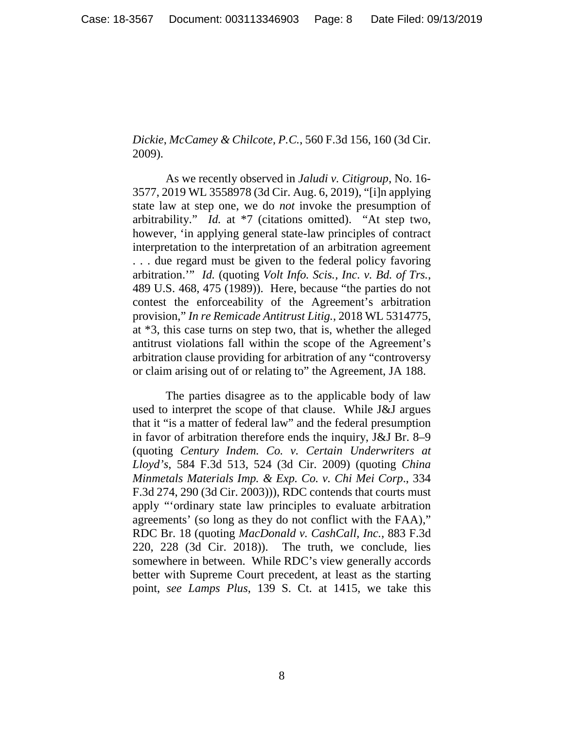*Dickie*, *McCamey & Chilcote, P.C.*, 560 F.3d 156, 160 (3d Cir. 2009).

As we recently observed in *Jaludi v. Citigroup*, No. 16- 3577, 2019 WL 3558978 (3d Cir. Aug. 6, 2019), "[i]n applying state law at step one, we do *not* invoke the presumption of arbitrability." *Id.* at \*7 (citations omitted). "At step two, however, 'in applying general state-law principles of contract interpretation to the interpretation of an arbitration agreement . . . due regard must be given to the federal policy favoring arbitration.'" *Id.* (quoting *Volt Info. Scis., Inc. v. Bd. of Trs.*, 489 U.S. 468, 475 (1989)). Here, because "the parties do not contest the enforceability of the Agreement's arbitration provision," *In re Remicade Antitrust Litig.*, 2018 WL 5314775, at \*3, this case turns on step two, that is, whether the alleged antitrust violations fall within the scope of the Agreement's arbitration clause providing for arbitration of any "controversy or claim arising out of or relating to" the Agreement, JA 188.

The parties disagree as to the applicable body of law used to interpret the scope of that clause. While J&J argues that it "is a matter of federal law" and the federal presumption in favor of arbitration therefore ends the inquiry, J&J Br. 8–9 (quoting *Century Indem. Co. v. Certain Underwriters at Lloyd's*, 584 F.3d 513, 524 (3d Cir. 2009) (quoting *China Minmetals Materials Imp. & Exp. Co. v. Chi Mei Corp*., 334 F.3d 274, 290 (3d Cir. 2003))), RDC contends that courts must apply "'ordinary state law principles to evaluate arbitration agreements' (so long as they do not conflict with the FAA)," RDC Br. 18 (quoting *MacDonald v. CashCall, Inc.*, 883 F.3d 220, 228 (3d Cir. 2018)). The truth, we conclude, lies somewhere in between. While RDC's view generally accords better with Supreme Court precedent, at least as the starting point, *see Lamps Plus*, 139 S. Ct. at 1415, we take this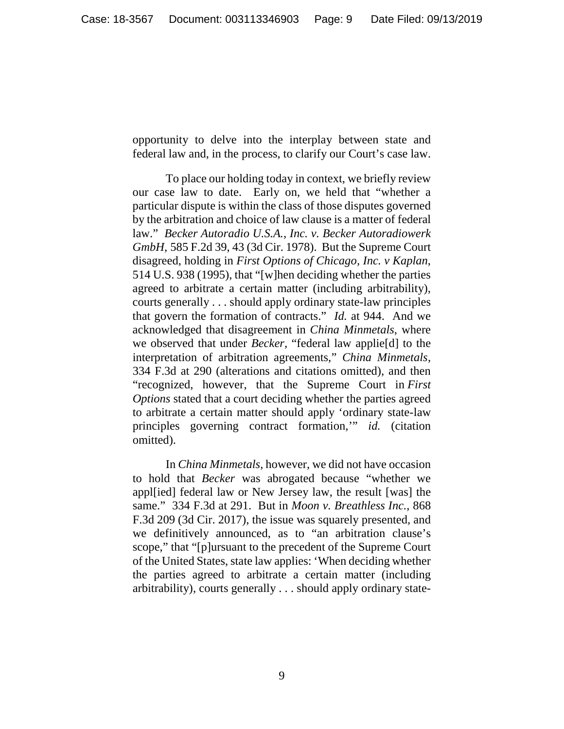opportunity to delve into the interplay between state and federal law and, in the process, to clarify our Court's case law.

To place our holding today in context, we briefly review our case law to date. Early on, we held that "whether a particular dispute is within the class of those disputes governed by the arbitration and choice of law clause is a matter of federal law." *Becker Autoradio U.S.A., Inc. v. Becker Autoradiowerk GmbH*, 585 F.2d 39, 43 (3d Cir. 1978). But the Supreme Court disagreed, holding in *First Options of Chicago, Inc. v Kaplan*, 514 U.S. 938 (1995), that "[w]hen deciding whether the parties agreed to arbitrate a certain matter (including arbitrability), courts generally . . . should apply ordinary state-law principles that govern the formation of contracts." *Id.* at 944. And we acknowledged that disagreement in *China Minmetals*, where we observed that under *Becker*, "federal law applie[d] to the interpretation of arbitration agreements," *China Minmetals*, 334 F.3d at 290 (alterations and citations omitted), and then "recognized, however, that the Supreme Court in *First Options* stated that a court deciding whether the parties agreed to arbitrate a certain matter should apply 'ordinary state-law principles governing contract formation,'" *id.* (citation omitted).

In *China Minmetals*, however, we did not have occasion to hold that *Becker* was abrogated because "whether we appl[ied] federal law or New Jersey law, the result [was] the same." 334 F.3d at 291. But in *Moon v. Breathless Inc.*, 868 F.3d 209 (3d Cir. 2017), the issue was squarely presented, and we definitively announced, as to "an arbitration clause's scope," that "[p]ursuant to the precedent of the Supreme Court of the United States, state law applies: 'When deciding whether the parties agreed to arbitrate a certain matter (including arbitrability), courts generally . . . should apply ordinary state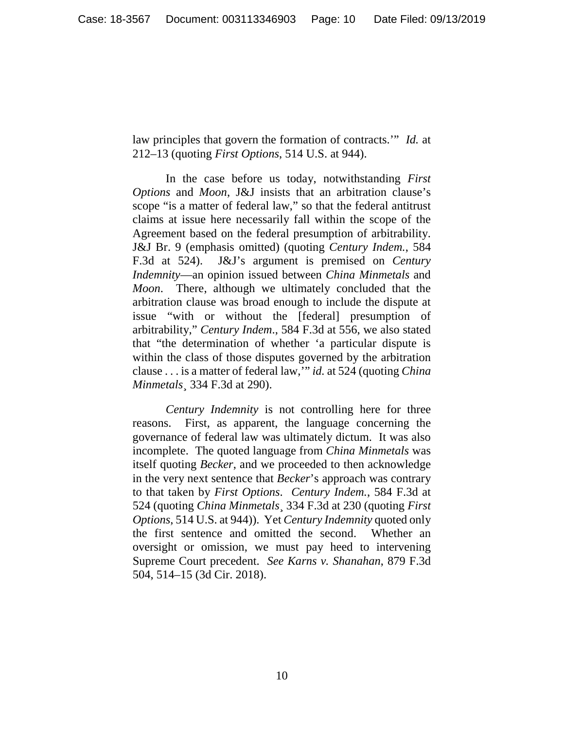law principles that govern the formation of contracts.'" *Id.* at 212–13 (quoting *First Options*, 514 U.S. at 944).

In the case before us today, notwithstanding *First Options* and *Moon*, J&J insists that an arbitration clause's scope "is a matter of federal law," so that the federal antitrust claims at issue here necessarily fall within the scope of the Agreement based on the federal presumption of arbitrability. J&J Br. 9 (emphasis omitted) (quoting *Century Indem.*, 584 F.3d at 524). J&J's argument is premised on *Century Indemnity*—an opinion issued between *China Minmetals* and *Moon*. There, although we ultimately concluded that the arbitration clause was broad enough to include the dispute at issue "with or without the [federal] presumption of arbitrability," *Century Indem*., 584 F.3d at 556, we also stated that "the determination of whether 'a particular dispute is within the class of those disputes governed by the arbitration clause . . . is a matter of federal law,'" *id.* at 524 (quoting *China Minmetals*¸ 334 F.3d at 290).

*Century Indemnity* is not controlling here for three reasons. First, as apparent, the language concerning the governance of federal law was ultimately dictum. It was also incomplete. The quoted language from *China Minmetals* was itself quoting *Becker*, and we proceeded to then acknowledge in the very next sentence that *Becker*'s approach was contrary to that taken by *First Options*. *Century Indem.*, 584 F.3d at 524 (quoting *China Minmetals*¸ 334 F.3d at 230 (quoting *First Options*, 514 U.S. at 944)). Yet *Century Indemnity* quoted only the first sentence and omitted the second. Whether an oversight or omission, we must pay heed to intervening Supreme Court precedent. *See Karns v. Shanahan*, 879 F.3d 504, 514–15 (3d Cir. 2018).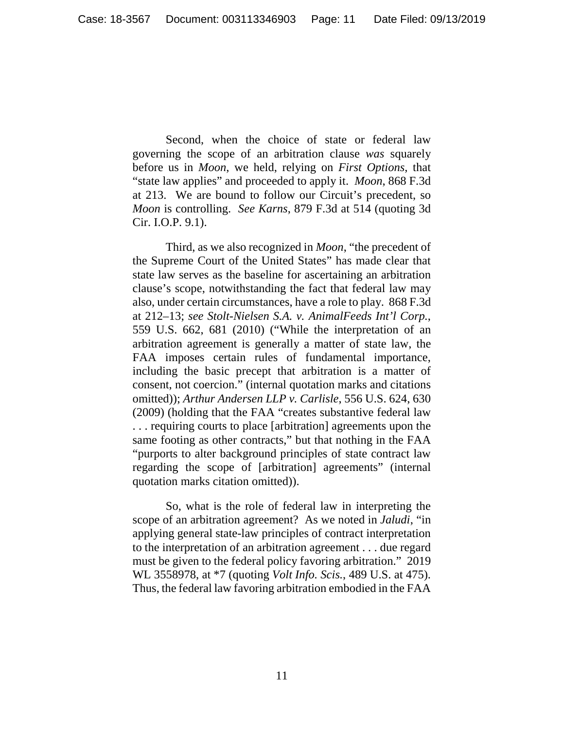Second, when the choice of state or federal law governing the scope of an arbitration clause *was* squarely before us in *Moon*, we held, relying on *First Options*, that "state law applies" and proceeded to apply it. *Moon*, 868 F.3d at 213. We are bound to follow our Circuit's precedent, so *Moon* is controlling. *See Karns*, 879 F.3d at 514 (quoting 3d Cir. I.O.P. 9.1).

Third, as we also recognized in *Moon*, "the precedent of the Supreme Court of the United States" has made clear that state law serves as the baseline for ascertaining an arbitration clause's scope, notwithstanding the fact that federal law may also, under certain circumstances, have a role to play. 868 F.3d at 212–13; *see Stolt-Nielsen S.A. v. AnimalFeeds Int'l Corp.*, 559 U.S. 662, 681 (2010) ("While the interpretation of an arbitration agreement is generally a matter of state law, the FAA imposes certain rules of fundamental importance, including the basic precept that arbitration is a matter of consent, not coercion." (internal quotation marks and citations omitted)); *Arthur Andersen LLP v. Carlisle*, 556 U.S. 624, 630 (2009) (holding that the FAA "creates substantive federal law . . . requiring courts to place [arbitration] agreements upon the same footing as other contracts," but that nothing in the FAA "purports to alter background principles of state contract law regarding the scope of [arbitration] agreements" (internal quotation marks citation omitted)).

So, what is the role of federal law in interpreting the scope of an arbitration agreement? As we noted in *Jaludi*, "in applying general state-law principles of contract interpretation to the interpretation of an arbitration agreement . . . due regard must be given to the federal policy favoring arbitration." 2019 WL 3558978, at \*7 (quoting *Volt Info. Scis.*, 489 U.S. at 475). Thus, the federal law favoring arbitration embodied in the FAA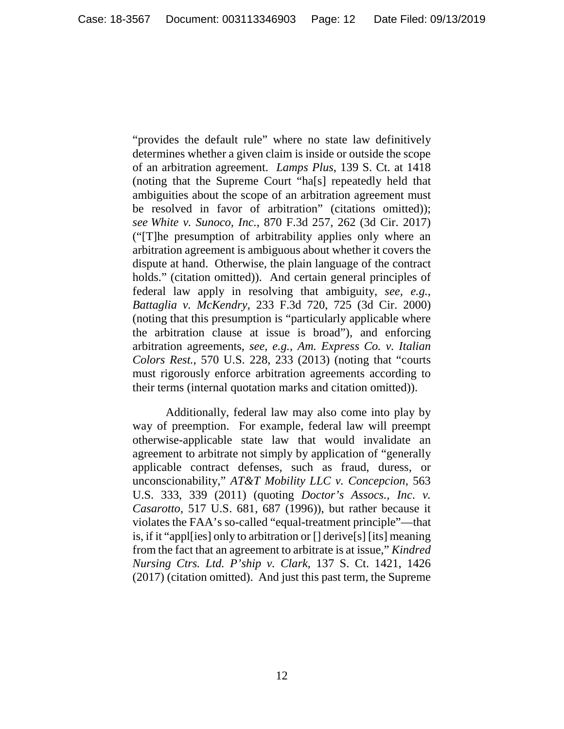"provides the default rule" where no state law definitively determines whether a given claim is inside or outside the scope of an arbitration agreement. *Lamps Plus*, 139 S. Ct. at 1418 (noting that the Supreme Court "ha[s] repeatedly held that ambiguities about the scope of an arbitration agreement must be resolved in favor of arbitration" (citations omitted)); *see White v. Sunoco, Inc.*, 870 F.3d 257, 262 (3d Cir. 2017) ("[T]he presumption of arbitrability applies only where an arbitration agreement is ambiguous about whether it covers the dispute at hand. Otherwise, the plain language of the contract holds." (citation omitted)). And certain general principles of federal law apply in resolving that ambiguity, *see, e.g.*, *Battaglia v. McKendry*, 233 F.3d 720, 725 (3d Cir. 2000) (noting that this presumption is "particularly applicable where the arbitration clause at issue is broad"), and enforcing arbitration agreements, *see, e.g.*, *Am. Express Co. v. Italian Colors Rest.*, 570 U.S. 228, 233 (2013) (noting that "courts must rigorously enforce arbitration agreements according to their terms (internal quotation marks and citation omitted)).

Additionally, federal law may also come into play by way of preemption. For example, federal law will preempt otherwise-applicable state law that would invalidate an agreement to arbitrate not simply by application of "generally applicable contract defenses, such as fraud, duress, or unconscionability," *AT&T Mobility LLC v. Concepcion*, 563 U.S. 333, 339 (2011) (quoting *Doctor's Assocs., Inc*. *v. Casarotto*, 517 U.S. 681, 687 (1996)), but rather because it violates the FAA's so-called "equal-treatment principle"—that is, if it "appl[ies] only to arbitration or [] derive[s] [its] meaning from the fact that an agreement to arbitrate is at issue," *Kindred Nursing Ctrs. Ltd. P'ship v. Clark*, 137 S. Ct. 1421, 1426 (2017) (citation omitted). And just this past term, the Supreme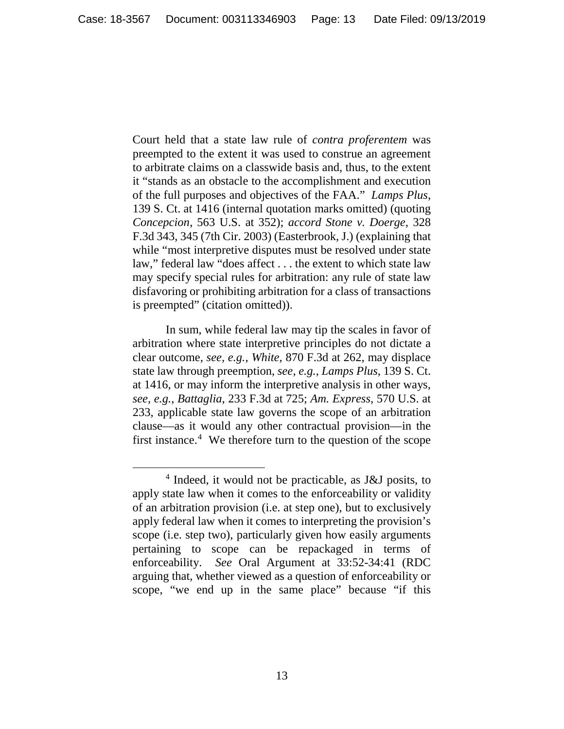Court held that a state law rule of *contra proferentem* was preempted to the extent it was used to construe an agreement to arbitrate claims on a classwide basis and, thus, to the extent it "stands as an obstacle to the accomplishment and execution of the full purposes and objectives of the FAA." *Lamps Plus*, 139 S. Ct. at 1416 (internal quotation marks omitted) (quoting *Concepcion*, 563 U.S. at 352); *accord Stone v. Doerge*, 328 F.3d 343, 345 (7th Cir. 2003) (Easterbrook, J.) (explaining that while "most interpretive disputes must be resolved under state law," federal law "does affect . . . the extent to which state law may specify special rules for arbitration: any rule of state law disfavoring or prohibiting arbitration for a class of transactions is preempted" (citation omitted)).

In sum, while federal law may tip the scales in favor of arbitration where state interpretive principles do not dictate a clear outcome, *see, e.g.*, *White*, 870 F.3d at 262, may displace state law through preemption, *see, e.g.*, *Lamps Plus*, 139 S. Ct. at 1416, or may inform the interpretive analysis in other ways, *see, e.g.*, *Battaglia*, 233 F.3d at 725; *Am. Express*, 570 U.S. at 233, applicable state law governs the scope of an arbitration clause—as it would any other contractual provision—in the first instance. [4](#page-12-0) We therefore turn to the question of the scope

<span id="page-12-0"></span><sup>4</sup> Indeed, it would not be practicable, as J&J posits, to apply state law when it comes to the enforceability or validity of an arbitration provision (i.e. at step one), but to exclusively apply federal law when it comes to interpreting the provision's scope (i.e. step two), particularly given how easily arguments pertaining to scope can be repackaged in terms of enforceability. *See* Oral Argument at 33:52-34:41 (RDC arguing that, whether viewed as a question of enforceability or scope, "we end up in the same place" because "if this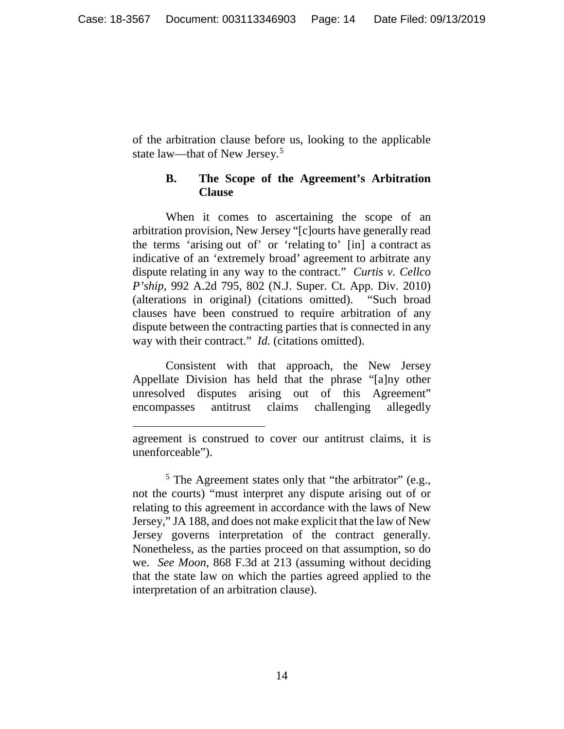of the arbitration clause before us, looking to the applicable state law—that of New Jersey.[5](#page-13-0)

# **B. The Scope of the Agreement's Arbitration Clause**

When it comes to ascertaining the scope of an arbitration provision, New Jersey "[c]ourts have generally read the terms 'arising out of' or 'relating to' [in] a contract as indicative of an 'extremely broad' agreement to arbitrate any dispute relating in any way to the contract." *Curtis v. Cellco P'ship*, 992 A.2d 795, 802 (N.J. Super. Ct. App. Div. 2010) (alterations in original) (citations omitted). "Such broad clauses have been construed to require arbitration of any dispute between the contracting parties that is connected in any way with their contract." *Id.* (citations omitted).

Consistent with that approach, the New Jersey Appellate Division has held that the phrase "[a]ny other unresolved disputes arising out of this Agreement" encompasses antitrust claims challenging allegedly

 $\overline{\phantom{a}}$ 

agreement is construed to cover our antitrust claims, it is unenforceable").

<span id="page-13-0"></span> $<sup>5</sup>$  The Agreement states only that "the arbitrator" (e.g.,</sup> not the courts) "must interpret any dispute arising out of or relating to this agreement in accordance with the laws of New Jersey," JA 188, and does not make explicit that the law of New Jersey governs interpretation of the contract generally. Nonetheless, as the parties proceed on that assumption, so do we. *See Moon*, 868 F.3d at 213 (assuming without deciding that the state law on which the parties agreed applied to the interpretation of an arbitration clause).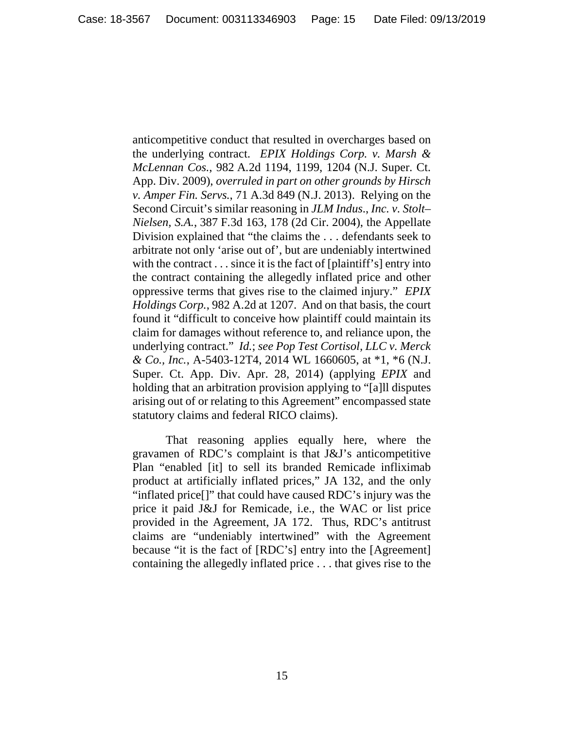anticompetitive conduct that resulted in overcharges based on the underlying contract. *EPIX Holdings Corp. v. Marsh & McLennan Cos.*, 982 A*.*2d 1194, 1199, 1204 (N.J. Super. Ct. App. Div. 2009), *overruled in part on other grounds by Hirsch v. Amper Fin. Servs.*, 71 A.3d 849 (N.J. 2013). Relying on the Second Circuit's similar reasoning in *JLM Indus*., *Inc. v. Stolt– Nielsen, S.A.*, 387 F*.*3d 163, 178 (2d Cir. 2004), the Appellate Division explained that "the claims the . . . defendants seek to arbitrate not only 'arise out of', but are undeniably intertwined with the contract . . . since it is the fact of [plaintiff's] entry into the contract containing the allegedly inflated price and other oppressive terms that gives rise to the claimed injury." *EPIX Holdings Corp.*, 982 A.2d at 1207. And on that basis, the court found it "difficult to conceive how plaintiff could maintain its claim for damages without reference to, and reliance upon, the underlying contract." *Id.*; *see Pop Test Cortisol, LLC v. Merck & Co., Inc.*, A-5403-12T4, 2014 WL 1660605, at \*1, \*6 (N.J. Super. Ct. App. Div. Apr. 28, 2014) (applying *EPIX* and holding that an arbitration provision applying to "[a]ll disputes arising out of or relating to this Agreement" encompassed state statutory claims and federal RICO claims).

That reasoning applies equally here, where the gravamen of RDC's complaint is that J&J's anticompetitive Plan "enabled [it] to sell its branded Remicade infliximab product at artificially inflated prices," JA 132, and the only "inflated price[]" that could have caused RDC's injury was the price it paid J&J for Remicade, i.e., the WAC or list price provided in the Agreement, JA 172. Thus, RDC's antitrust claims are "undeniably intertwined" with the Agreement because "it is the fact of [RDC's] entry into the [Agreement] containing the allegedly inflated price . . . that gives rise to the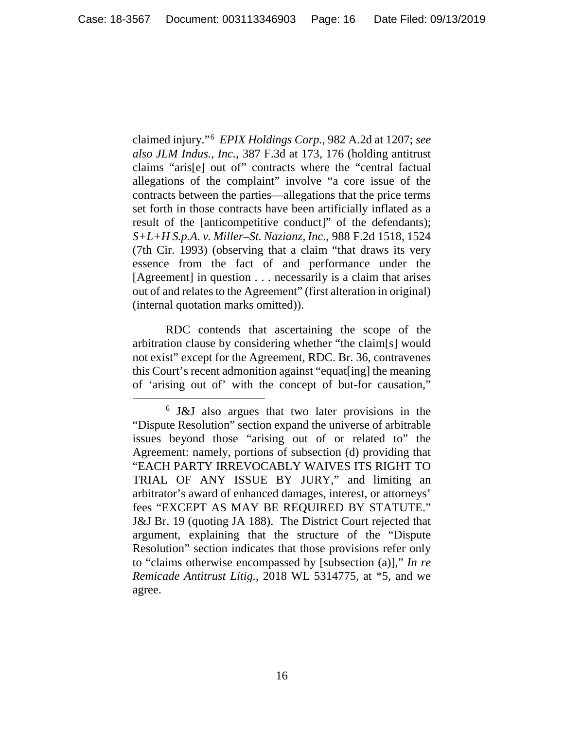claimed injury."[6](#page-15-0) *EPIX Holdings Corp.*, 982 A.2d at 1207; *see also JLM Indus., Inc.*, 387 F.3d at 173, 176 (holding antitrust claims "aris[e] out of" contracts where the "central factual allegations of the complaint" involve "a core issue of the contracts between the parties—allegations that the price terms set forth in those contracts have been artificially inflated as a result of the [anticompetitive conduct]" of the defendants); *S+L+H S.p.A. v. Miller–St. Nazianz, Inc*., 988 F.2d 1518, 1524 (7th Cir. 1993) (observing that a claim "that draws its very essence from the fact of and performance under the [Agreement] in question . . . necessarily is a claim that arises out of and relates to the Agreement" (first alteration in original) (internal quotation marks omitted)).

RDC contends that ascertaining the scope of the arbitration clause by considering whether "the claim[s] would not exist" except for the Agreement, RDC. Br. 36, contravenes this Court's recent admonition against "equat[ing] the meaning of 'arising out of' with the concept of but-for causation,"

<span id="page-15-0"></span><sup>6</sup> J&J also argues that two later provisions in the "Dispute Resolution" section expand the universe of arbitrable issues beyond those "arising out of or related to" the Agreement: namely, portions of subsection (d) providing that "EACH PARTY IRREVOCABLY WAIVES ITS RIGHT TO TRIAL OF ANY ISSUE BY JURY," and limiting an arbitrator's award of enhanced damages, interest, or attorneys' fees "EXCEPT AS MAY BE REQUIRED BY STATUTE." J&J Br. 19 (quoting JA 188). The District Court rejected that argument, explaining that the structure of the "Dispute Resolution" section indicates that those provisions refer only to "claims otherwise encompassed by [subsection (a)]," *In re Remicade Antitrust Litig.*, 2018 WL 5314775, at \*5, and we agree.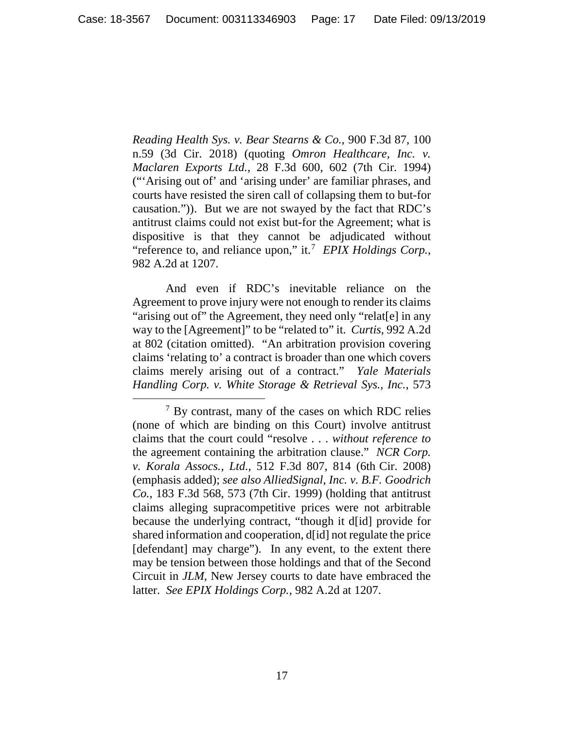*Reading Health Sys. v. Bear Stearns & Co.*, 900 F.3d 87, 100 n.59 (3d Cir. 2018) (quoting *Omron Healthcare, Inc. v. Maclaren Exports Ltd.*, 28 F.3d 600, 602 (7th Cir. 1994) ("'Arising out of' and 'arising under' are familiar phrases, and courts have resisted the siren call of collapsing them to but-for causation.")). But we are not swayed by the fact that RDC's antitrust claims could not exist but-for the Agreement; what is dispositive is that they cannot be adjudicated without "reference to, and reliance upon," it. [7](#page-16-0) *EPIX Holdings Corp.*, 982 A.2d at 1207.

And even if RDC's inevitable reliance on the Agreement to prove injury were not enough to render its claims "arising out of" the Agreement, they need only "relat[e] in any way to the [Agreement]" to be "related to" it. *Curtis*, 992 A.2d at 802 (citation omitted). "An arbitration provision covering claims 'relating to' a contract is broader than one which covers claims merely arising out of a contract." *Yale Materials Handling Corp. v. White Storage & Retrieval Sys., Inc.*, 573

<span id="page-16-0"></span> $7$  By contrast, many of the cases on which RDC relies (none of which are binding on this Court) involve antitrust claims that the court could "resolve . . . *without reference to* the agreement containing the arbitration clause." *NCR Corp. v. Korala Assocs., Ltd.*, 512 F.3d 807, 814 (6th Cir. 2008) (emphasis added); *see also AlliedSignal, Inc. v. B.F. Goodrich Co.*, 183 F.3d 568, 573 (7th Cir. 1999) (holding that antitrust claims alleging supracompetitive prices were not arbitrable because the underlying contract, "though it d[id] provide for shared information and cooperation, d[id] not regulate the price [defendant] may charge"). In any event, to the extent there may be tension between those holdings and that of the Second Circuit in *JLM*, New Jersey courts to date have embraced the latter. *See EPIX Holdings Corp.*, 982 A.2d at 1207.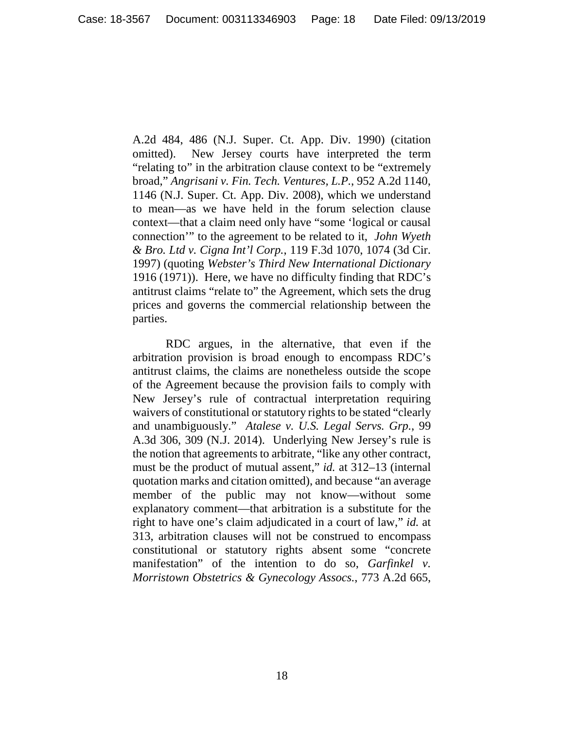A.2d 484, 486 (N.J. Super. Ct. App. Div. 1990) (citation omitted). New Jersey courts have interpreted the term "relating to" in the arbitration clause context to be "extremely broad," *Angrisani v. Fin. Tech. Ventures, L.P.*, 952 A.2d 1140, 1146 (N.J. Super. Ct. App. Div. 2008), which we understand to mean—as we have held in the forum selection clause context—that a claim need only have "some 'logical or causal connection'" to the agreement to be related to it, *John Wyeth & Bro. Ltd v. Cigna Int'l Corp.*, 119 F.3d 1070, 1074 (3d Cir. 1997) (quoting *Webster's Third New International Dictionary* 1916 (1971)). Here, we have no difficulty finding that RDC's antitrust claims "relate to" the Agreement, which sets the drug prices and governs the commercial relationship between the parties.

RDC argues, in the alternative, that even if the arbitration provision is broad enough to encompass RDC's antitrust claims, the claims are nonetheless outside the scope of the Agreement because the provision fails to comply with New Jersey's rule of contractual interpretation requiring waivers of constitutional or statutory rights to be stated "clearly and unambiguously." *Atalese v. U.S. Legal Servs. Grp.*, 99 A.3d 306, 309 (N.J. 2014). Underlying New Jersey's rule is the notion that agreements to arbitrate, "like any other contract, must be the product of mutual assent," *id.* at 312–13 (internal quotation marks and citation omitted), and because "an average member of the public may not know—without some explanatory comment—that arbitration is a substitute for the right to have one's claim adjudicated in a court of law," *id.* at 313, arbitration clauses will not be construed to encompass constitutional or statutory rights absent some "concrete manifestation" of the intention to do so, *Garfinkel v. Morristown Obstetrics & Gynecology Assocs.*, 773 A.2d 665,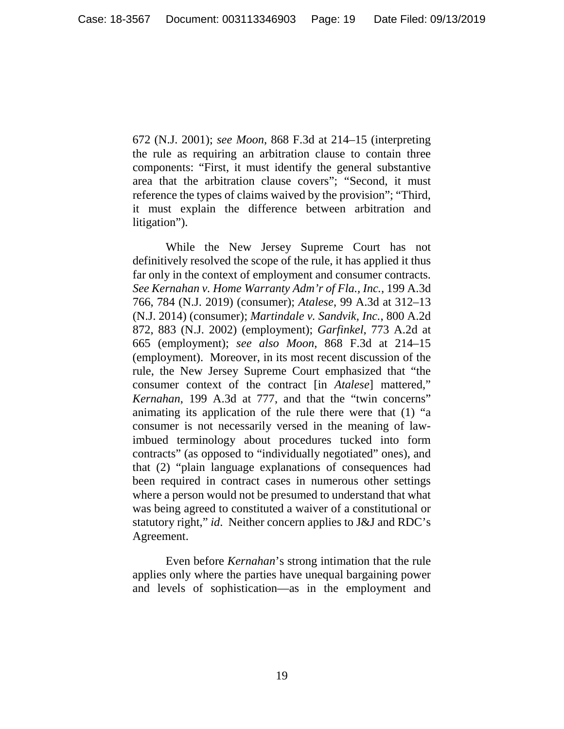672 (N.J. 2001); *see Moon*, 868 F.3d at 214–15 (interpreting the rule as requiring an arbitration clause to contain three components: "First, it must identify the general substantive area that the arbitration clause covers"; "Second, it must reference the types of claims waived by the provision"; "Third, it must explain the difference between arbitration and litigation").

While the New Jersey Supreme Court has not definitively resolved the scope of the rule, it has applied it thus far only in the context of employment and consumer contracts. *See Kernahan v. Home Warranty Adm'r of Fla., Inc.*, 199 A.3d 766, 784 (N.J. 2019) (consumer); *Atalese*, 99 A.3d at 312–13 (N.J. 2014) (consumer); *Martindale v. Sandvik, Inc.*, 800 A.2d 872, 883 (N.J. 2002) (employment); *Garfinkel*, 773 A.2d at 665 (employment); *see also Moon*, 868 F.3d at 214–15 (employment). Moreover, in its most recent discussion of the rule, the New Jersey Supreme Court emphasized that "the consumer context of the contract [in *Atalese*] mattered," *Kernahan*, 199 A.3d at 777, and that the "twin concerns" animating its application of the rule there were that (1) "a consumer is not necessarily versed in the meaning of lawimbued terminology about procedures tucked into form contracts" (as opposed to "individually negotiated" ones), and that (2) "plain language explanations of consequences had been required in contract cases in numerous other settings where a person would not be presumed to understand that what was being agreed to constituted a waiver of a constitutional or statutory right," *id*. Neither concern applies to J&J and RDC's Agreement.

Even before *Kernahan*'s strong intimation that the rule applies only where the parties have unequal bargaining power and levels of sophistication—as in the employment and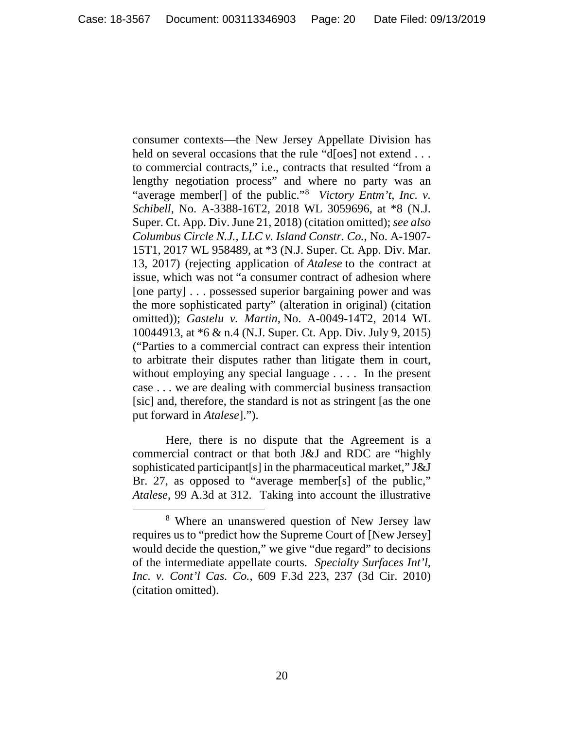consumer contexts—the New Jersey Appellate Division has held on several occasions that the rule "d[oes] not extend . . . to commercial contracts," i.e., contracts that resulted "from a lengthy negotiation process" and where no party was an "average member<sup>[]</sup> of the public."<sup>[8](#page-19-0)</sup> Victory Entm't, Inc. v. *Schibell*, No. A-3388-16T2, 2018 WL 3059696, at \*8 (N.J. Super. Ct. App. Div. June 21, 2018) (citation omitted); *see also Columbus Circle N.J., LLC v. Island Constr. Co.*, No. A-1907- 15T1, 2017 WL 958489, at \*3 (N.J. Super. Ct. App. Div. Mar. 13, 2017) (rejecting application of *Atalese* to the contract at issue, which was not "a consumer contract of adhesion where [one party] . . . possessed superior bargaining power and was the more sophisticated party" (alteration in original) (citation omitted)); *Gastelu v. Martin*, No. A-0049-14T2, 2014 WL 10044913, at \*6 & n.4 (N.J. Super. Ct. App. Div. July 9, 2015) ("Parties to a commercial contract can express their intention to arbitrate their disputes rather than litigate them in court, without employing any special language . . . . In the present case . . . we are dealing with commercial business transaction [sic] and, therefore, the standard is not as stringent [as the one put forward in *Atalese*].").

Here, there is no dispute that the Agreement is a commercial contract or that both J&J and RDC are "highly sophisticated participant[s] in the pharmaceutical market," J&J Br. 27, as opposed to "average member[s] of the public," *Atalese*, 99 A.3d at 312. Taking into account the illustrative

<span id="page-19-0"></span><sup>8</sup> Where an unanswered question of New Jersey law requires us to "predict how the Supreme Court of [New Jersey] would decide the question," we give "due regard" to decisions of the intermediate appellate courts. *Specialty Surfaces Int'l, Inc. v. Cont'l Cas. Co.*, 609 F.3d 223, 237 (3d Cir. 2010) (citation omitted).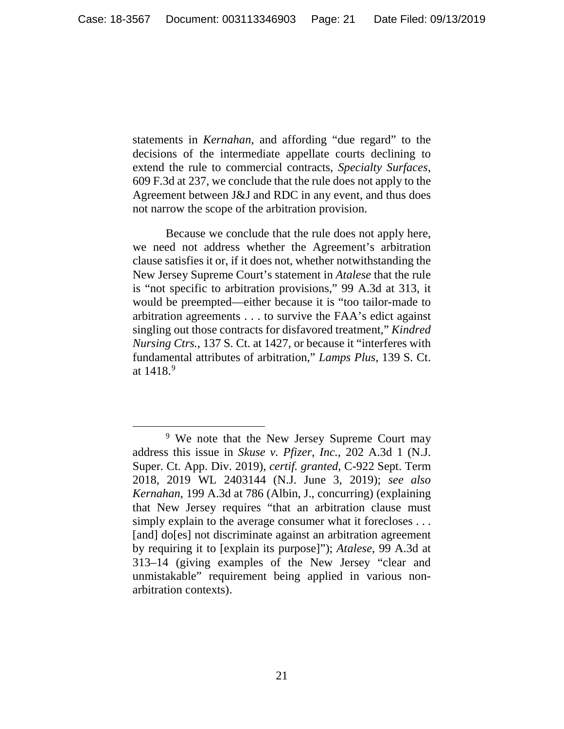statements in *Kernahan*, and affording "due regard" to the decisions of the intermediate appellate courts declining to extend the rule to commercial contracts, *Specialty Surfaces*, 609 F.3d at 237, we conclude that the rule does not apply to the Agreement between J&J and RDC in any event, and thus does not narrow the scope of the arbitration provision.

Because we conclude that the rule does not apply here, we need not address whether the Agreement's arbitration clause satisfies it or, if it does not, whether notwithstanding the New Jersey Supreme Court's statement in *Atalese* that the rule is "not specific to arbitration provisions," 99 A.3d at 313, it would be preempted—either because it is "too tailor-made to arbitration agreements . . . to survive the FAA's edict against singling out those contracts for disfavored treatment," *Kindred Nursing Ctrs.*, 137 S. Ct. at 1427, or because it "interferes with fundamental attributes of arbitration," *Lamps Plus*, 139 S. Ct. at  $1418.9$  $1418.9$ 

 $\overline{\phantom{a}}$ 

<span id="page-20-0"></span><sup>9</sup> We note that the New Jersey Supreme Court may address this issue in *Skuse v. Pfizer, Inc.*, 202 A.3d 1 (N.J. Super. Ct. App. Div. 2019), *certif. granted*, C-922 Sept. Term 2018, 2019 WL 2403144 (N.J. June 3, 2019); *see also Kernahan*, 199 A.3d at 786 (Albin, J., concurring) (explaining that New Jersey requires "that an arbitration clause must simply explain to the average consumer what it forecloses ... [and] do[es] not discriminate against an arbitration agreement by requiring it to [explain its purpose]"); *Atalese*, 99 A.3d at 313–14 (giving examples of the New Jersey "clear and unmistakable" requirement being applied in various nonarbitration contexts).